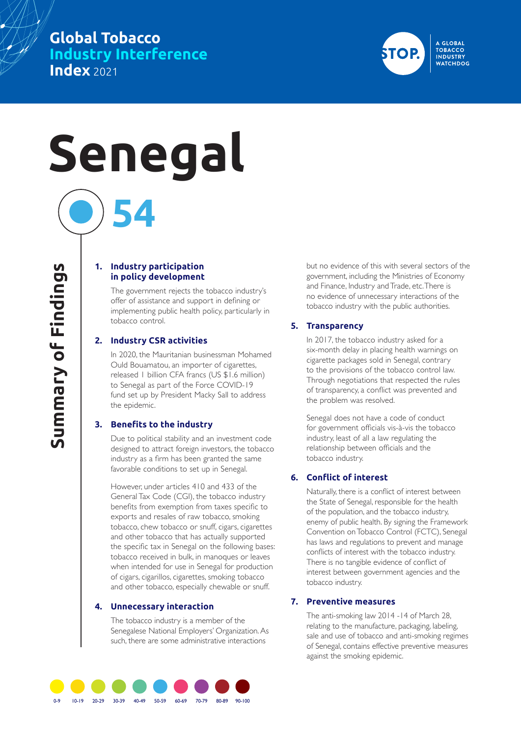# **Global Tobacco Industry Interference Index** 2021



# **Senegal**

**54**

#### **1. Industry participation in policy development**

The government rejects the tobacco industry's offer of assistance and support in defining or implementing public health policy, particularly in tobacco control.

#### **2. Industry CSR activities**

In 2020, the Mauritanian businessman Mohamed Ould Bouamatou, an importer of cigarettes, released 1 billion CFA francs (US \$1.6 million) to Senegal as part of the Force COVID-19 fund set up by President Macky Sall to address the epidemic.

#### **3. Benefits to the industry**

Due to political stability and an investment code designed to attract foreign investors, the tobacco industry as a firm has been granted the same favorable conditions to set up in Senegal.

However, under articles 410 and 433 of the General Tax Code (CGI), the tobacco industry benefits from exemption from taxes specific to exports and resales of raw tobacco, smoking tobacco, chew tobacco or snuff, cigars, cigarettes and other tobacco that has actually supported the specific tax in Senegal on the following bases: tobacco received in bulk, in manoques or leaves when intended for use in Senegal for production of cigars, cigarillos, cigarettes, smoking tobacco and other tobacco, especially chewable or snuff.

#### **4. Unnecessary interaction**

The tobacco industry is a member of the Senegalese National Employers' Organization. As such, there are some administrative interactions

but no evidence of this with several sectors of the government, including the Ministries of Economy and Finance, Industry and Trade, etc. There is no evidence of unnecessary interactions of the tobacco industry with the public authorities.

#### **5. Transparency**

In 2017, the tobacco industry asked for a six-month delay in placing health warnings on cigarette packages sold in Senegal, contrary to the provisions of the tobacco control law. Through negotiations that respected the rules of transparency, a conflict was prevented and the problem was resolved.

Senegal does not have a code of conduct for government officials vis-à-vis the tobacco industry, least of all a law regulating the relationship between officials and the tobacco industry.

#### **6. Conflict of interest**

Naturally, there is a conflict of interest between the State of Senegal, responsible for the health of the population, and the tobacco industry, enemy of public health. By signing the Framework Convention on Tobacco Control (FCTC), Senegal has laws and regulations to prevent and manage conflicts of interest with the tobacco industry. There is no tangible evidence of conflict of interest between government agencies and the tobacco industry.

#### **7. Preventive measures**

The anti-smoking law 2014 -14 of March 28, relating to the manufacture, packaging, labeling, sale and use of tobacco and anti-smoking regimes of Senegal, contains effective preventive measures against the smoking epidemic.